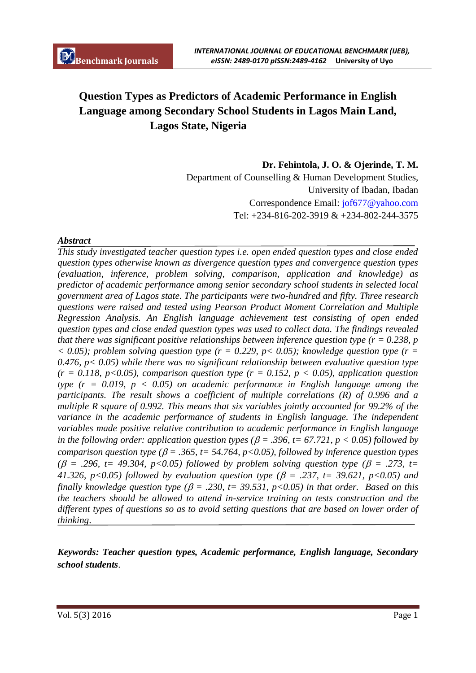# **Question Types as Predictors of Academic Performance in English Language among Secondary School Students in Lagos Main Land, Lagos State, Nigeria**

**Dr. Fehintola, J. O. & Ojerinde, T. M.** Department of Counselling & Human Development Studies, University of Ibadan, Ibadan Correspondence Email: jof677@yahoo.com Tel: +234-816-202-3919 & +234-802-244-3575

## *Abstract*

*This study investigated teacher question types i.e. open ended question types and close ended question types otherwise known as divergence question types and convergence question types (evaluation, inference, problem solving, comparison, application and knowledge) as predictor of academic performance among senior secondary school students in selected local government area of Lagos state. The participants were two-hundred and fifty. Three research questions were raised and tested using Pearson Product Moment Correlation and Multiple Regression Analysis. An English language achievement test consisting of open ended question types and close ended question types was used to collect data. The findings revealed that there was significant positive relationships between inference question type (r = 0.238, p*   $\langle 0.05 \rangle$ ; problem solving question type (r = 0.229, p $\langle 0.05 \rangle$ ; knowledge question type (r = *0.476, p< 0.05) while there was no significant relationship between evaluative question type*   $(r = 0.118, p < 0.05)$ , comparison question type  $(r = 0.152, p < 0.05)$ , application question *type*  $(r = 0.019, p < 0.05)$  *on academic performance in English language among the participants. The result shows a coefficient of multiple correlations (R) of 0.996 and a multiple R square of 0.992. This means that six variables jointly accounted for 99.2% of the variance in the academic performance of students in English language. The independent variables made positive relative contribution to academic performance in English language in the following order: application question types (* $\beta$  *= .396, t= 67.721, p < 0.05) followed by comparison question type (* $\beta$  *= .365, t= 54.764, p<0.05), followed by inference question types ( = .296, t= 49.304, p<0.05) followed by problem solving question type ( = .273, t= 41.326, p<0.05) followed by evaluation question type (* $\beta$  *= .237, t= 39.621, p<0.05) and finally knowledge question type (* $\beta$  *= .230, t = 39.531, p < 0.05) in that order. Based on this the teachers should be allowed to attend in-service training on tests construction and the different types of questions so as to avoid setting questions that are based on lower order of thinking*.

*Keywords: Teacher question types, Academic performance, English language, Secondary school students*.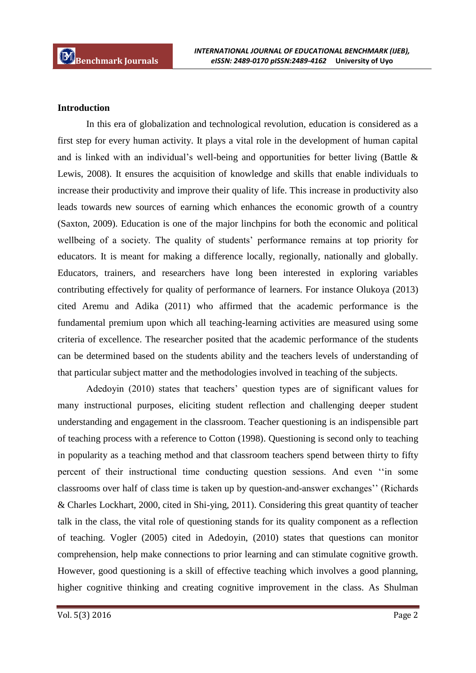## **Introduction**

In this era of globalization and technological revolution, education is considered as a first step for every human activity. It plays a vital role in the development of human capital and is linked with an individual's well-being and opportunities for better living (Battle & Lewis, 2008). It ensures the acquisition of knowledge and skills that enable individuals to increase their productivity and improve their quality of life. This increase in productivity also leads towards new sources of earning which enhances the economic growth of a country (Saxton, 2009). Education is one of the major linchpins for both the economic and political wellbeing of a society. The quality of students' performance remains at top priority for educators. It is meant for making a difference locally, regionally, nationally and globally. Educators, trainers, and researchers have long been interested in exploring variables contributing effectively for quality of performance of learners. For instance Olukoya (2013) cited Aremu and Adika (2011) who affirmed that the academic performance is the fundamental premium upon which all teaching-learning activities are measured using some criteria of excellence. The researcher posited that the academic performance of the students can be determined based on the students ability and the teachers levels of understanding of that particular subject matter and the methodologies involved in teaching of the subjects.

Adedoyin (2010) states that teachers' question types are of significant values for many instructional purposes, eliciting student reflection and challenging deeper student understanding and engagement in the classroom. Teacher questioning is an indispensible part of teaching process with a reference to Cotton (1998). Questioning is second only to teaching in popularity as a teaching method and that classroom teachers spend between thirty to fifty percent of their instructional time conducting question sessions. And even ''in some classrooms over half of class time is taken up by question-and-answer exchanges'' (Richards & Charles Lockhart, 2000, cited in Shi-ying, 2011). Considering this great quantity of teacher talk in the class, the vital role of questioning stands for its quality component as a reflection of teaching. Vogler (2005) cited in Adedoyin, (2010) states that questions can monitor comprehension, help make connections to prior learning and can stimulate cognitive growth. However, good questioning is a skill of effective teaching which involves a good planning, higher cognitive thinking and creating cognitive improvement in the class. As Shulman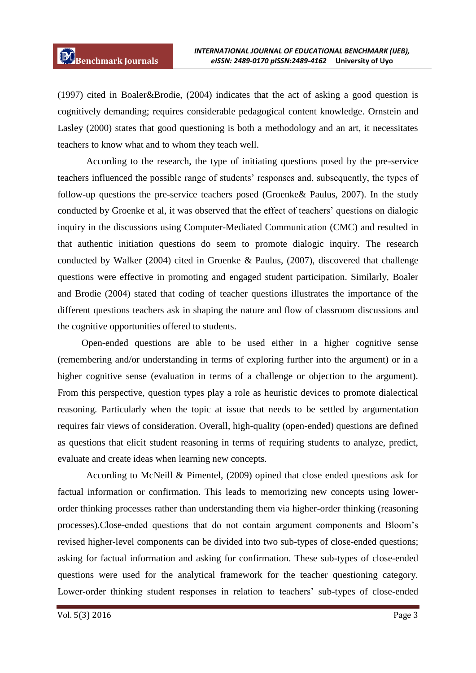(1997) cited in Boaler&Brodie, (2004) indicates that the act of asking a good question is cognitively demanding; requires considerable pedagogical content knowledge. Ornstein and Lasley (2000) states that good questioning is both a methodology and an art, it necessitates teachers to know what and to whom they teach well.

According to the research, the type of initiating questions posed by the pre-service teachers influenced the possible range of students' responses and, subsequently, the types of follow-up questions the pre-service teachers posed (Groenke& Paulus, 2007). In the study conducted by Groenke et al, it was observed that the effect of teachers' questions on dialogic inquiry in the discussions using Computer-Mediated Communication (CMC) and resulted in that authentic initiation questions do seem to promote dialogic inquiry. The research conducted by Walker (2004) cited in Groenke & Paulus, (2007), discovered that challenge questions were effective in promoting and engaged student participation. Similarly, Boaler and Brodie (2004) stated that coding of teacher questions illustrates the importance of the different questions teachers ask in shaping the nature and flow of classroom discussions and the cognitive opportunities offered to students.

 Open-ended questions are able to be used either in a higher cognitive sense (remembering and/or understanding in terms of exploring further into the argument) or in a higher cognitive sense (evaluation in terms of a challenge or objection to the argument). From this perspective, question types play a role as heuristic devices to promote dialectical reasoning. Particularly when the topic at issue that needs to be settled by argumentation requires fair views of consideration. Overall, high-quality (open-ended) questions are defined as questions that elicit student reasoning in terms of requiring students to analyze, predict, evaluate and create ideas when learning new concepts.

According to McNeill & Pimentel, (2009) opined that close ended questions ask for factual information or confirmation. This leads to memorizing new concepts using lowerorder thinking processes rather than understanding them via higher-order thinking (reasoning processes).Close-ended questions that do not contain argument components and Bloom's revised higher-level components can be divided into two sub-types of close-ended questions; asking for factual information and asking for confirmation. These sub-types of close-ended questions were used for the analytical framework for the teacher questioning category. Lower-order thinking student responses in relation to teachers' sub-types of close-ended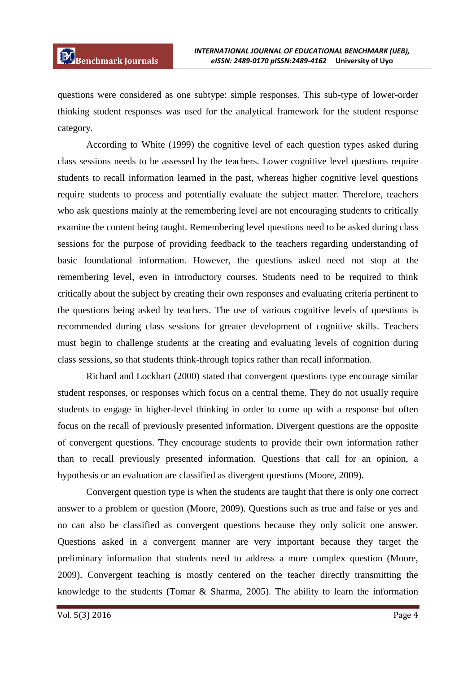questions were considered as one subtype: simple responses. This sub-type of lower-order thinking student responses was used for the analytical framework for the student response category.

According to White (1999) the cognitive level of each question types asked during class sessions needs to be assessed by the teachers. Lower cognitive level questions require students to recall information learned in the past, whereas higher cognitive level questions require students to process and potentially evaluate the subject matter. Therefore, teachers who ask questions mainly at the remembering level are not encouraging students to critically examine the content being taught. Remembering level questions need to be asked during class sessions for the purpose of providing feedback to the teachers regarding understanding of basic foundational information. However, the questions asked need not stop at the remembering level, even in introductory courses. Students need to be required to think critically about the subject by creating their own responses and evaluating criteria pertinent to the questions being asked by teachers. The use of various cognitive levels of questions is recommended during class sessions for greater development of cognitive skills. Teachers must begin to challenge students at the creating and evaluating levels of cognition during class sessions, so that students think-through topics rather than recall information.

Richard and Lockhart (2000) stated that convergent questions type encourage similar student responses, or responses which focus on a central theme. They do not usually require students to engage in higher-level thinking in order to come up with a response but often focus on the recall of previously presented information. Divergent questions are the opposite of convergent questions. They encourage students to provide their own information rather than to recall previously presented information. Questions that call for an opinion, a hypothesis or an evaluation are classified as divergent questions (Moore, 2009).

Convergent question type is when the students are taught that there is only one correct answer to a problem or question (Moore, 2009). Questions such as true and false or yes and no can also be classified as convergent questions because they only solicit one answer. Questions asked in a convergent manner are very important because they target the preliminary information that students need to address a more complex question (Moore, 2009). Convergent teaching is mostly centered on the teacher directly transmitting the knowledge to the students (Tomar & Sharma, 2005). The ability to learn the information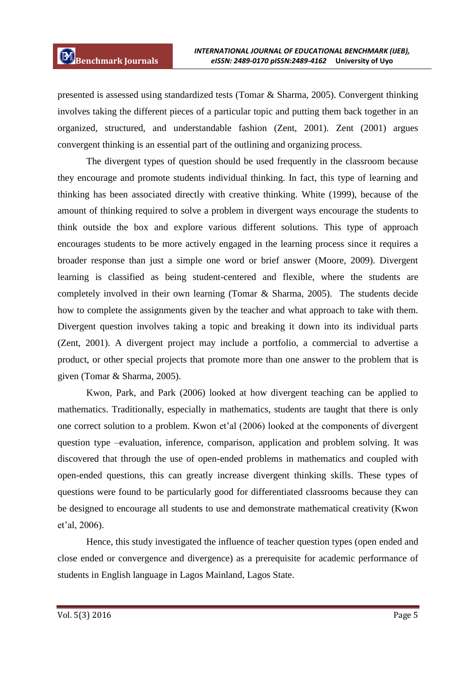presented is assessed using standardized tests (Tomar & Sharma, 2005). Convergent thinking involves taking the different pieces of a particular topic and putting them back together in an organized, structured, and understandable fashion (Zent, 2001). Zent (2001) argues convergent thinking is an essential part of the outlining and organizing process.

The divergent types of question should be used frequently in the classroom because they encourage and promote students individual thinking. In fact, this type of learning and thinking has been associated directly with creative thinking. White (1999), because of the amount of thinking required to solve a problem in divergent ways encourage the students to think outside the box and explore various different solutions. This type of approach encourages students to be more actively engaged in the learning process since it requires a broader response than just a simple one word or brief answer (Moore, 2009). Divergent learning is classified as being student-centered and flexible, where the students are completely involved in their own learning (Tomar & Sharma, 2005). The students decide how to complete the assignments given by the teacher and what approach to take with them. Divergent question involves taking a topic and breaking it down into its individual parts (Zent, 2001). A divergent project may include a portfolio, a commercial to advertise a product, or other special projects that promote more than one answer to the problem that is given (Tomar & Sharma, 2005).

Kwon, Park, and Park (2006) looked at how divergent teaching can be applied to mathematics. Traditionally, especially in mathematics, students are taught that there is only one correct solution to a problem. Kwon et'al (2006) looked at the components of divergent question type –evaluation, inference, comparison, application and problem solving. It was discovered that through the use of open-ended problems in mathematics and coupled with open-ended questions, this can greatly increase divergent thinking skills. These types of questions were found to be particularly good for differentiated classrooms because they can be designed to encourage all students to use and demonstrate mathematical creativity (Kwon et'al, 2006).

Hence, this study investigated the influence of teacher question types (open ended and close ended or convergence and divergence) as a prerequisite for academic performance of students in English language in Lagos Mainland, Lagos State.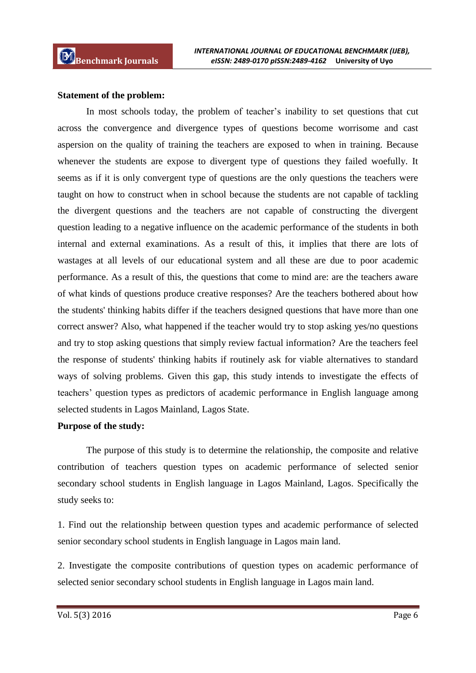#### **Statement of the problem:**

In most schools today, the problem of teacher's inability to set questions that cut across the convergence and divergence types of questions become worrisome and cast aspersion on the quality of training the teachers are exposed to when in training. Because whenever the students are expose to divergent type of questions they failed woefully. It seems as if it is only convergent type of questions are the only questions the teachers were taught on how to construct when in school because the students are not capable of tackling the divergent questions and the teachers are not capable of constructing the divergent question leading to a negative influence on the academic performance of the students in both internal and external examinations. As a result of this, it implies that there are lots of wastages at all levels of our educational system and all these are due to poor academic performance. As a result of this, the questions that come to mind are: are the teachers aware of what kinds of questions produce creative responses? Are the teachers bothered about how the students' thinking habits differ if the teachers designed questions that have more than one correct answer? Also, what happened if the teacher would try to stop asking yes/no questions and try to stop asking questions that simply review factual information? Are the teachers feel the response of students' thinking habits if routinely ask for viable alternatives to standard ways of solving problems. Given this gap, this study intends to investigate the effects of teachers' question types as predictors of academic performance in English language among selected students in Lagos Mainland, Lagos State.

#### **Purpose of the study:**

The purpose of this study is to determine the relationship, the composite and relative contribution of teachers question types on academic performance of selected senior secondary school students in English language in Lagos Mainland, Lagos. Specifically the study seeks to:

1. Find out the relationship between question types and academic performance of selected senior secondary school students in English language in Lagos main land.

2. Investigate the composite contributions of question types on academic performance of selected senior secondary school students in English language in Lagos main land.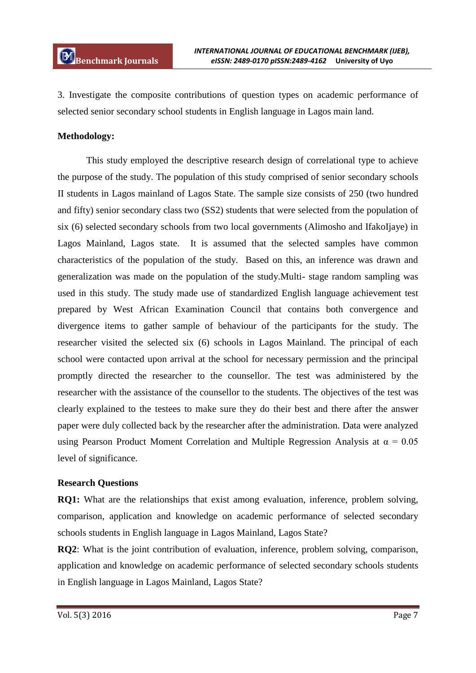3. Investigate the composite contributions of question types on academic performance of selected senior secondary school students in English language in Lagos main land.

# **Methodology:**

This study employed the descriptive research design of correlational type to achieve the purpose of the study. The population of this study comprised of senior secondary schools II students in Lagos mainland of Lagos State. The sample size consists of 250 (two hundred and fifty) senior secondary class two (SS2) students that were selected from the population of six (6) selected secondary schools from two local governments (Alimosho and IfakoIjaye) in Lagos Mainland, Lagos state. It is assumed that the selected samples have common characteristics of the population of the study. Based on this, an inference was drawn and generalization was made on the population of the study.Multi- stage random sampling was used in this study. The study made use of standardized English language achievement test prepared by West African Examination Council that contains both convergence and divergence items to gather sample of behaviour of the participants for the study. The researcher visited the selected six (6) schools in Lagos Mainland. The principal of each school were contacted upon arrival at the school for necessary permission and the principal promptly directed the researcher to the counsellor. The test was administered by the researcher with the assistance of the counsellor to the students. The objectives of the test was clearly explained to the testees to make sure they do their best and there after the answer paper were duly collected back by the researcher after the administration. Data were analyzed using Pearson Product Moment Correlation and Multiple Regression Analysis at  $\alpha = 0.05$ level of significance.

# **Research Questions**

**RQ1:** What are the relationships that exist among evaluation, inference, problem solving, comparison, application and knowledge on academic performance of selected secondary schools students in English language in Lagos Mainland, Lagos State?

**RQ2**: What is the joint contribution of evaluation, inference, problem solving, comparison, application and knowledge on academic performance of selected secondary schools students in English language in Lagos Mainland, Lagos State?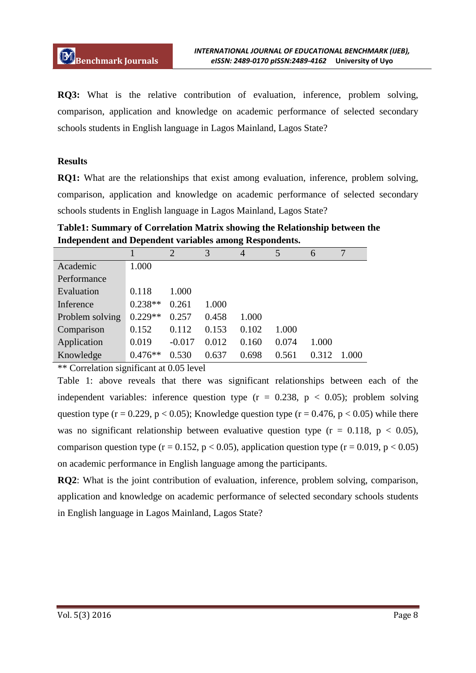**RQ3:** What is the relative contribution of evaluation, inference, problem solving, comparison, application and knowledge on academic performance of selected secondary schools students in English language in Lagos Mainland, Lagos State?

## **Results**

**RQ1:** What are the relationships that exist among evaluation, inference, problem solving, comparison, application and knowledge on academic performance of selected secondary schools students in English language in Lagos Mainland, Lagos State?

**Table1: Summary of Correlation Matrix showing the Relationship between the Independent and Dependent variables among Respondents.**

|                 |           | $\overline{2}$ | 3     | $\overline{4}$ | 5     | 6     |      |
|-----------------|-----------|----------------|-------|----------------|-------|-------|------|
| Academic        | 1.000     |                |       |                |       |       |      |
| Performance     |           |                |       |                |       |       |      |
| Evaluation      | 0.118     | 1.000          |       |                |       |       |      |
| Inference       | $0.238**$ | 0.261          | 1.000 |                |       |       |      |
| Problem solving | $0.229**$ | 0.257          | 0.458 | 1.000          |       |       |      |
| Comparison      | 0.152     | 0.112          | 0.153 | 0.102          | 1.000 |       |      |
| Application     | 0.019     | $-0.017$       | 0.012 | 0.160          | 0.074 | 1.000 |      |
| Knowledge       | $0.476**$ | 0.530          | 0.637 | 0.698          | 0.561 | 0.312 | -000 |

\*\* Correlation significant at 0.05 level

Table 1: above reveals that there was significant relationships between each of the independent variables: inference question type  $(r = 0.238, p < 0.05)$ ; problem solving question type ( $r = 0.229$ ,  $p < 0.05$ ); Knowledge question type ( $r = 0.476$ ,  $p < 0.05$ ) while there was no significant relationship between evaluative question type  $(r = 0.118, p < 0.05)$ , comparison question type (r = 0.152, p < 0.05), application question type (r = 0.019, p < 0.05) on academic performance in English language among the participants.

**RQ2**: What is the joint contribution of evaluation, inference, problem solving, comparison, application and knowledge on academic performance of selected secondary schools students in English language in Lagos Mainland, Lagos State?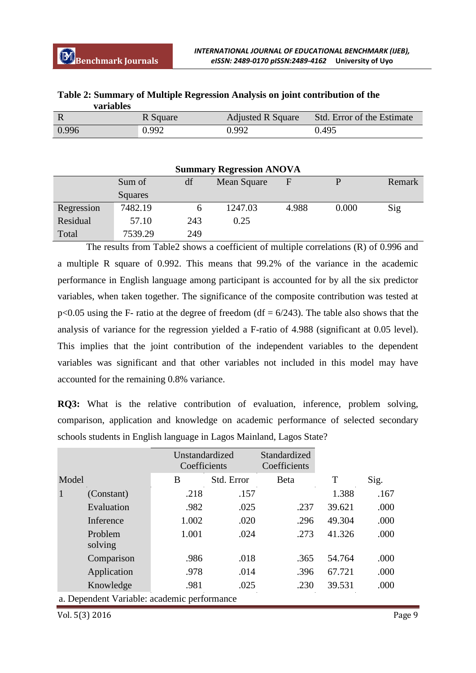| variables |          |                          |                            |
|-----------|----------|--------------------------|----------------------------|
|           | R Square | <b>Adjusted R Square</b> | Std. Error of the Estimate |
| 0.996     | 0.992    | 0.992                    | 0.495                      |

|                  | Table 2: Summary of Multiple Regression Analysis on joint contribution of the |
|------------------|-------------------------------------------------------------------------------|
| <b>variables</b> |                                                                               |

| <b>Summary Regression ANOVA</b> |         |     |             |       |       |        |
|---------------------------------|---------|-----|-------------|-------|-------|--------|
|                                 | Sum of  | df  | Mean Square | F     |       | Remark |
|                                 | Squares |     |             |       |       |        |
| Regression                      | 7482.19 |     | 1247.03     | 4.988 | 0.000 | Sig    |
| Residual                        | 57.10   | 243 | 0.25        |       |       |        |
| Total                           | 7539.29 | 249 |             |       |       |        |

The results from Table2 shows a coefficient of multiple correlations (R) of 0.996 and a multiple R square of 0.992. This means that 99.2% of the variance in the academic performance in English language among participant is accounted for by all the six predictor variables, when taken together. The significance of the composite contribution was tested at  $p<0.05$  using the F- ratio at the degree of freedom (df = 6/243). The table also shows that the analysis of variance for the regression yielded a F-ratio of 4.988 (significant at 0.05 level). This implies that the joint contribution of the independent variables to the dependent variables was significant and that other variables not included in this model may have accounted for the remaining 0.8% variance.

**RQ3:** What is the relative contribution of evaluation, inference, problem solving, comparison, application and knowledge on academic performance of selected secondary schools students in English language in Lagos Mainland, Lagos State?

|                                             |                    | Unstandardized<br>Coefficients |            | Standardized<br>Coefficients |        |      |
|---------------------------------------------|--------------------|--------------------------------|------------|------------------------------|--------|------|
| Model                                       |                    | B                              | Std. Error | Beta                         | T      | Sig. |
| $\mathbf{1}$                                | (Constant)         | .218                           | .157       |                              | 1.388  | .167 |
|                                             | Evaluation         | .982                           | .025       | .237                         | 39.621 | .000 |
|                                             | Inference          | 1.002                          | .020       | .296                         | 49.304 | .000 |
|                                             | Problem<br>solving | 1.001                          | .024       | .273                         | 41.326 | .000 |
|                                             | Comparison         | .986                           | .018       | .365                         | 54.764 | .000 |
|                                             | Application        | .978                           | .014       | .396                         | 67.721 | .000 |
|                                             | Knowledge          | .981                           | .025       | .230                         | 39.531 | .000 |
| a. Dependent Variable: academic performance |                    |                                |            |                              |        |      |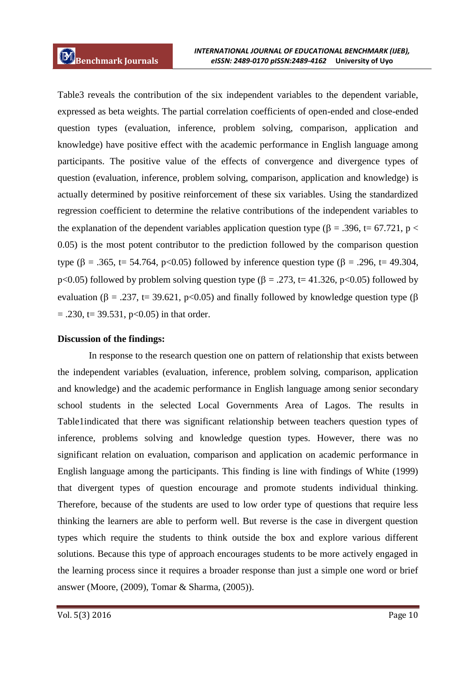Table3 reveals the contribution of the six independent variables to the dependent variable, expressed as beta weights. The partial correlation coefficients of open-ended and close-ended question types (evaluation, inference, problem solving, comparison, application and knowledge) have positive effect with the academic performance in English language among participants. The positive value of the effects of convergence and divergence types of question (evaluation, inference, problem solving, comparison, application and knowledge) is actually determined by positive reinforcement of these six variables. Using the standardized regression coefficient to determine the relative contributions of the independent variables to the explanation of the dependent variables application question type ( $\beta = .396$ , t= 67.721, p < 0.05) is the most potent contributor to the prediction followed by the comparison question type ( $\beta = .365$ , t= 54.764, p<0.05) followed by inference question type ( $\beta = .296$ , t= 49.304, p<0.05) followed by problem solving question type ( $\beta = .273$ , t= 41.326, p<0.05) followed by evaluation ( $\beta = .237$ , t= 39.621, p<0.05) and finally followed by knowledge question type ( $\beta$ )  $= .230$ , t= 39.531, p<0.05) in that order.

#### **Discussion of the findings:**

In response to the research question one on pattern of relationship that exists between the independent variables (evaluation, inference, problem solving, comparison, application and knowledge) and the academic performance in English language among senior secondary school students in the selected Local Governments Area of Lagos. The results in Table1indicated that there was significant relationship between teachers question types of inference, problems solving and knowledge question types. However, there was no significant relation on evaluation, comparison and application on academic performance in English language among the participants. This finding is line with findings of White (1999) that divergent types of question encourage and promote students individual thinking. Therefore, because of the students are used to low order type of questions that require less thinking the learners are able to perform well. But reverse is the case in divergent question types which require the students to think outside the box and explore various different solutions. Because this type of approach encourages students to be more actively engaged in the learning process since it requires a broader response than just a simple one word or brief answer (Moore, (2009), Tomar & Sharma, (2005)).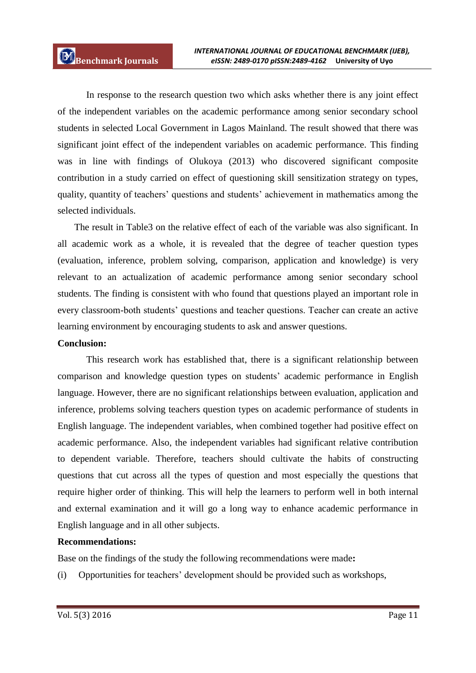In response to the research question two which asks whether there is any joint effect of the independent variables on the academic performance among senior secondary school students in selected Local Government in Lagos Mainland. The result showed that there was significant joint effect of the independent variables on academic performance. This finding was in line with findings of Olukoya (2013) who discovered significant composite contribution in a study carried on effect of questioning skill sensitization strategy on types, quality, quantity of teachers' questions and students' achievement in mathematics among the selected individuals.

 The result in Table3 on the relative effect of each of the variable was also significant. In all academic work as a whole, it is revealed that the degree of teacher question types (evaluation, inference, problem solving, comparison, application and knowledge) is very relevant to an actualization of academic performance among senior secondary school students. The finding is consistent with who found that questions played an important role in every classroom-both students' questions and teacher questions. Teacher can create an active learning environment by encouraging students to ask and answer questions.

# **Conclusion:**

This research work has established that, there is a significant relationship between comparison and knowledge question types on students' academic performance in English language. However, there are no significant relationships between evaluation, application and inference, problems solving teachers question types on academic performance of students in English language. The independent variables, when combined together had positive effect on academic performance. Also, the independent variables had significant relative contribution to dependent variable. Therefore, teachers should cultivate the habits of constructing questions that cut across all the types of question and most especially the questions that require higher order of thinking. This will help the learners to perform well in both internal and external examination and it will go a long way to enhance academic performance in English language and in all other subjects.

# **Recommendations:**

Base on the findings of the study the following recommendations were made**:**

(i) Opportunities for teachers' development should be provided such as workshops,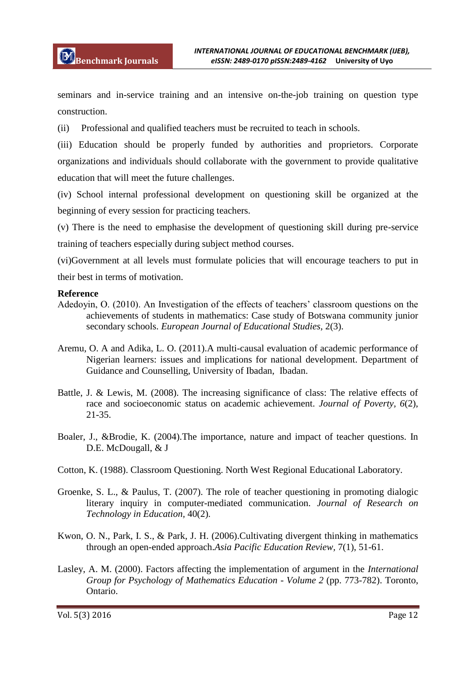seminars and in-service training and an intensive on-the-job training on question type construction.

(ii) Professional and qualified teachers must be recruited to teach in schools.

(iii) Education should be properly funded by authorities and proprietors. Corporate organizations and individuals should collaborate with the government to provide qualitative education that will meet the future challenges.

(iv) School internal professional development on questioning skill be organized at the beginning of every session for practicing teachers.

(v) There is the need to emphasise the development of questioning skill during pre-service training of teachers especially during subject method courses.

(vi)Government at all levels must formulate policies that will encourage teachers to put in their best in terms of motivation.

## **Reference**

- Adedoyin, O. (2010). An Investigation of the effects of teachers' classroom questions on the achievements of students in mathematics: Case study of Botswana community junior secondary schools. *European Journal of Educational Studies,* 2(3).
- Aremu, O. A and Adika, L. O. (2011).A multi-causal evaluation of academic performance of Nigerian learners: issues and implications for national development. Department of Guidance and Counselling, University of Ibadan, Ibadan.
- Battle, J. & Lewis, M. (2008). The increasing significance of class: The relative effects of race and socioeconomic status on academic achievement. *Journal of Poverty, 6*(2), 21-35.
- Boaler, J., &Brodie, K. (2004).The importance, nature and impact of teacher questions. In D.E. McDougall, & J
- Cotton, K. (1988). Classroom Questioning. North West Regional Educational Laboratory.
- Groenke, S. L., & Paulus, T. (2007). The role of teacher questioning in promoting dialogic literary inquiry in computer-mediated communication. *Journal of Research on Technology in Education,* 40(2).
- Kwon, O. N., Park, I. S., & Park, J. H. (2006).Cultivating divergent thinking in mathematics through an open-ended approach.*Asia Pacific Education Review,* 7(1), 51-61.
- Lasley, A. M. (2000). Factors affecting the implementation of argument in the *International Group for Psychology of Mathematics Education - Volume 2* (pp. 773-782). Toronto, Ontario.